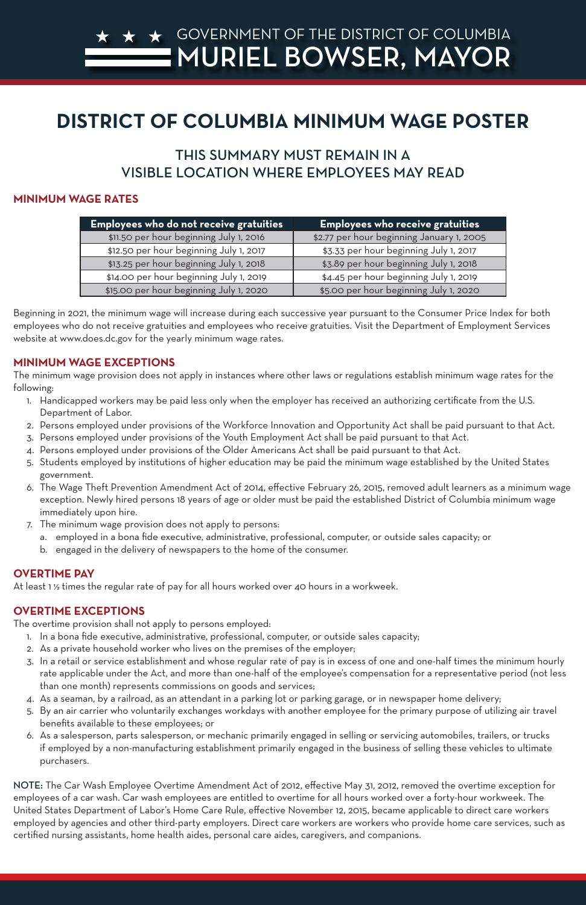# THIS SUMMARY MUST REMAIN IN A VISIBLE LOCATION WHERE EMPLOYEES MAY READ

#### **MINIMUM WAGE RATES**

| <b>Employees who do not receive gratuities</b> | $\sf  Employees$ who receive gratuities $\sf $ |
|------------------------------------------------|------------------------------------------------|
| \$11.50 per hour beginning July 1, 2016        | \$2.77 per hour beginning January 1, 2005      |
| \$12.50 per hour beginning July 1, 2017        | \$3.33 per hour beginning July 1, 2017         |
| \$13.25 per hour beginning July 1, 2018        | \$3.89 per hour beginning July 1, 2018         |
| \$14.00 per hour beginning July 1, 2019        | \$4.45 per hour beginning July 1, 2019         |
| \$15.00 per hour beginning July 1, 2020        | \$5.00 per hour beginning July 1, 2020         |

Beginning in 2021, the minimum wage will increase during each successive year pursuant to the Consumer Price Index for both employees who do not receive gratuities and employees who receive gratuities. Visit the Department of Employment Services website at www.does.dc.gov for the yearly minimum wage rates.

#### **MINIMUM WAGE EXCEPTIONS**

The minimum wage provision does not apply in instances where other laws or regulations establish minimum wage rates for the following:

- 1. Handicapped workers may be paid less only when the employer has received an authorizing certificate from the U.S. Department of Labor.
- 2. Persons employed under provisions of the Workforce Innovation and Opportunity Act shall be paid pursuant to that Act.
- 3. Persons employed under provisions of the Youth Employment Act shall be paid pursuant to that Act.
- 4. Persons employed under provisions of the Older Americans Act shall be paid pursuant to that Act.
- 5. Students employed by institutions of higher education may be paid the minimum wage established by the United States government.
- 6. The Wage Theft Prevention Amendment Act of 2014, effective February 26, 2015, removed adult learners as a minimum wage exception. Newly hired persons 18 years of age or older must be paid the established District of Columbia minimum wage immediately upon hire.
- 7. The minimum wage provision does not apply to persons:
	- a. employed in a bona fide executive, administrative, professional, computer, or outside sales capacity; or
	- b. engaged in the delivery of newspapers to the home of the consumer.

# **OVERTIME PAY**

At least 1 ½ times the regular rate of pay for all hours worked over 40 hours in a workweek.

# **OVERTIME EXCEPTIONS**

The overtime provision shall not apply to persons employed:

- 1. In a bona fide executive, administrative, professional, computer, or outside sales capacity;
- 2. As a private household worker who lives on the premises of the employer;
- 3. In a retail or service establishment and whose regular rate of pay is in excess of one and one-half times the minimum hourly

rate applicable under the Act, and more than one-half of the employee's compensation for a representative period (not less than one month) represents commissions on goods and services;

- 4. As a seaman, by a railroad, as an attendant in a parking lot or parking garage, or in newspaper home delivery;
- 5. By an air carrier who voluntarily exchanges workdays with another employee for the primary purpose of utilizing air travel benefits available to these employees; or
- 6. As a salesperson, parts salesperson, or mechanic primarily engaged in selling or servicing automobiles, trailers, or trucks if employed by a non-manufacturing establishment primarily engaged in the business of selling these vehicles to ultimate purchasers.

NOTE: The Car Wash Employee Overtime Amendment Act of 2012, effective May 31, 2012, removed the overtime exception for employees of a car wash. Car wash employees are entitled to overtime for all hours worked over a forty-hour workweek. The United States Department of Labor's Home Care Rule, effective November 12, 2015, became applicable to direct care workers employed by agencies and other third-party employers. Direct care workers are workers who provide home care services, such as certified nursing assistants, home health aides, personal care aides, caregivers, and companions.

# GOVERNMENT OF THE DISTRICT OF COLUMBIA MURIEL BOWSER, MAYOR

#### **DISTRICT OF COLUMBIA MINIMUM WAGE POSTER** GOVERNMENT OF DOCTED MA MINIMUM WAGE POSTER